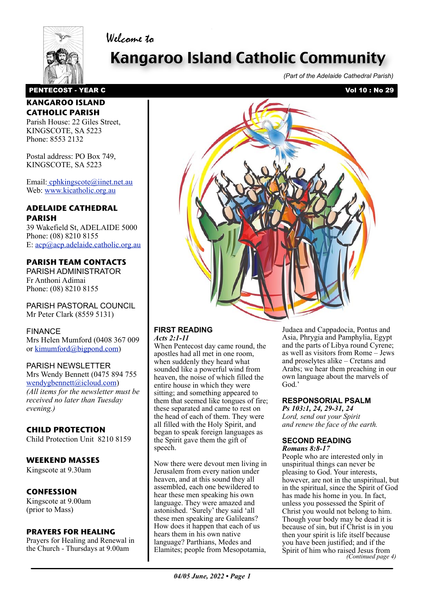

Welcome to

# Kangaroo Island Catholic Community

*(Part of the Adelaide Cathedral Parish)*

## PENTECOST - YEAR C<br>
Vol 10 : No 29

#### **KANGAROO ISLAND CATHOLIC PARISH**

Parish House: 22 Giles Street, KINGSCOTE, SA 5223 Phone: 8553 2132

Postal address: PO Box 749, KINGSCOTE, SA 5223

Email[: cphkingscote@iinet.net.au](mailto:cphkingscote@iinet.net.au) Web: [www.kicatholic.org.au](http://www.kicatholic.org.au)

### **ADELAIDE CATHEDRAL PARISH**

39 Wakefield St, ADELAIDE 5000 Phone: (08) 8210 8155 E: [acp@acp.adelaide.catholic.org.au](mailto:?subject=)

## **PARISH TEAM CONTACTS**

PARISH ADMINISTRATOR Fr Anthoni Adimai Phone: (08) 8210 8155

PARISH PASTORAL COUNCIL Mr Peter Clark (8559 5131)

#### FINANCE

Mrs Helen Mumford (0408 367 009 or [kimumford@bigpond.com\)](mailto:kimumford@bigpond.com)

#### PARISH NEWSLETTER

Mrs Wendy Bennett (0475 894 755 [wendygbennett@icloud.com\)](mailto:wendygbennett@icloud.com) *(All items for the newsletter must be received no later than Tuesday evening.)*

## **CHILD PROTECTION**

Child Protection Unit 8210 8159

## **WEEKEND MASSES**

Kingscote at 9.30am

## **CONFESSION**

Kingscote at 9.00am (prior to Mass)

#### **PRAYERS FOR HEALING**

Prayers for Healing and Renewal in the Church - Thursdays at 9.00am



#### **FIRST READING** *Acts 2:1-11*

When Pentecost day came round, the apostles had all met in one room, when suddenly they heard what sounded like a powerful wind from heaven, the noise of which filled the entire house in which they were sitting; and something appeared to [them that seemed like tongues of fire;](file://localhost/Users/gaelterrymaloney/Documents/aa%20Parish%20Newsletter/%20%20%20%20Current%20newsletter/11_12_March,%202017.pages)  these separated and came to rest on the head of each of them. They were all filled with the Holy Spirit, and began to speak foreign languages as the Spirit gave them the gift of speech.

Now there were devout men living in Jerusalem from every nation under heaven, and at this sound they all assembled, each one bewildered to hear these men speaking his own language. They were amazed and astonished. 'Surely' they said 'all these men speaking are Galileans? How does it happen that each of us hears them in his own native language? Parthians, Medes and Elamites; people from Mesopotamia,

Judaea and Cappadocia, Pontus and Asia, Phrygia and Pamphylia, Egypt and the parts of Libya round Cyrene; as well as visitors from Rome – Jews and proselytes alike – Cretans and Arabs; we hear them preaching in our own language about the marvels of God.'

#### **RESPONSORIAL PSALM**

*Ps 103:1, 24, 29-31, 24 Lord, send out your Spirit and renew the face of the earth.*

#### **SECOND READING** *Romans 8:8-17*

People who are interested only in unspiritual things can never be pleasing to God. Your interests, however, are not in the unspiritual, but in the spiritual, since the Spirit of God has made his home in you. In fact, unless you possessed the Spirit of Christ you would not belong to him. Though your body may be dead it is because of sin, but if Christ is in you then your spirit is life itself because you have been justified; and if the Spirit of him who raised Jesus from *(Continued page 4)*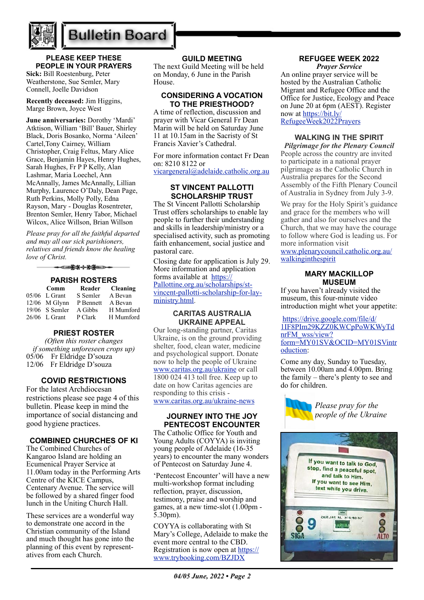

## **Bulletin Board**

### **PLEASE KEEP THESE PEOPLE IN YOUR PRAYERS**

**Sick:** Bill Roestenburg, Peter Weatherstone, Sue Semler, Mary Connell, Joelle Davidson

**Recently deceased:** Jim Higgins, Marge Brown, Joyce West

**June anniversaries:** Dorothy 'Mardi' Atktison, William 'Bill' Bauer, Shirley Black, Doris Bosanko, Norma 'Aileen' Cartel,Tony Cairney, William Christopher, Craig Feltus, Mary Alice Grace, Benjamin Hayes, Henry Hughes, Sarah Hughes, Fr P P Kelly, Alan Lashmar, Maria Loechel, Ann McAnnally, James McAnnally, Lillian Murphy, Laurence O'Daly, Dean Page, Ruth Perkins, Molly Polly, Edna Rayson, Mary - Douglas Rosentreter, Brenton Semler, Henry Tabor, Michael Wilcox, Alice Willson, Brian Willson

*Please pray for all the faithful departed and may all our sick parishioners, relatives and friends know the healing love of Christ.*

▅<del>▛</del>▓⊹<del>▓</del>▅⋺

#### **PARISH ROSTERS**

| Comm             | Reader    | <b>Cleaning</b> |
|------------------|-----------|-----------------|
| $05/06$ L Grant  | S Semler  | A Bevan         |
| $12/06$ M Glynn  | P Bennett | A Bevan         |
| $19/06$ S Semler | A Gibbs   | H Mumford       |
| $26/06$ L Grant  | P Clark   | H Mumford       |

#### **PRIEST ROSTER**

*(Often this roster changes if something unforeseen crops up)* 05/06 Fr Eldridge D'souza 12/06 Fr Eldridge D'souza

#### **COVID RESTRICTIONS**

For the latest Archdiocesan restrictions please see page 4 of this bulletin. Please keep in mind the importance of social distancing and good hygiene practices.

#### **COMBINED CHURCHES OF KI**

The Combined Churches of Kangaroo Island are holding an Ecumenical Prayer Service at 11.00am today in the Performing Arts Centre of the KICE Campus, Centenary Avenue. The service will be followed by a shared finger food lunch in the Uniting Church Hall.

These services are a wonderful way to demonstrate one accord in the Christian community of the Island and much thought has gone into the planning of this event by representatives from each Church.

#### **GUILD MEETING**

The next Guild Meeting will be held on Monday, 6 June in the Parish House.

#### **CONSIDERING A VOCATION TO THE PRIESTHOOD?**

A time of reflection, discussion and prayer with Vicar General Fr Dean Marin will be held on Saturday June 11 at 10.15am in the Sacristy of St Francis Xavier's Cathedral.

For more information contact Fr Dean on: 8210 8122 or [vicargeneral@adelaide.catholic.org.au](mailto:vicargeneral@adelaide.catholic.org.au)

#### **ST VINCENT PALLOTTI SCHOLARSHIP TRUST**

The St Vincent Pallotti Scholarship Trust offers scholarships to enable lay people to further their understanding and skills in leadership/ministry or a specialised activity, such as promoting faith enhancement, social justice and pastoral care.

Closing date for application is July 29. More information and application forms available at [https://](https://Pallottine.org.au/scholarships/st-vincent-pallotti-scholarship-for-lay-ministry.html) [Pallottine.org.au/scholarships/st](https://Pallottine.org.au/scholarships/st-vincent-pallotti-scholarship-for-lay-ministry.html)[vincent-pallotti-scholarship-for-lay](https://Pallottine.org.au/scholarships/st-vincent-pallotti-scholarship-for-lay-ministry.html)[ministry.html](https://Pallottine.org.au/scholarships/st-vincent-pallotti-scholarship-for-lay-ministry.html).

#### **CARITAS AUSTRALIA UKRAINE APPEAL**

Our long-standing partner, Caritas Ukraine, is on the ground providing shelter, food, clean water, medicine and psychological support. Donate now to help the people of Ukraine [www.caritas.org.au/ukraine](https://aus01.safelinks.protection.outlook.com/?url=http%3A%2F%2Fwww.caritas.org.au%2Fukraine&data=04%7C01%7CCco-Reception%40adelaide.catholic.org.au%7Cfc58bf7f33d340f2ee9b08da07b447d1%7Cfe51d108d61d407cbcaaaab5af82a7ac%7C1%7C0%7C637830768121954887%7CUnknown%7CTWFpbGZsb3d8eyJWIjoiMC4wLjAwMDAiLCJQIjoiV2luMzIiLCJBTiI6Ik1haWwiLCJXVCI6Mn0%3D%7C3000&sdata=rOXCte9AEd2c89fp5zaw9%2FEi7PK87M7lemKGAncPi%2B8%3D&reserved=0) or call 1800 024 413 toll free. Keep up to date on how Caritas agencies are responding to this crisis [www.caritas.org.au/ukraine-news](https://aus01.safelinks.protection.outlook.com/?url=http%3A%2F%2Fwww.caritas.org.au%2Fukraine-news&data=04%7C01%7CCco-Reception%40adelaide.catholic.org.au%7Cfc58bf7f33d340f2ee9b08da07b447d1%7Cfe51d108d61d407cbcaaaab5af82a7ac%7C1%7C0%7C637830768121954887%7CUnknown%7CTWFpbGZsb3d8eyJWIjoiMC4wLjAwMDAiLCJQIjoiV2luMzIiLCJBTiI6Ik1haWwiLCJXVCI6Mn0%3D%7C3000&sdata=GLRcp0dt1SgGoLPRBlSbLWB%2Fp8GMz2LoehdjvnSFQWg%3D&reserved=0)

#### **JOURNEY INTO THE JOY PENTECOST ENCOUNTER**

The Catholic Office for Youth and Young Adults (COYYA) is inviting young people of Adelaide (16-35 years) to encounter the many wonders of Pentecost on Saturday June 4.

'Pentecost Encounter' will have a new multi-workshop format including reflection, prayer, discussion, testimony, praise and worship and games, at a new time-slot (1.00pm - 5.30pm).

COYYA is collaborating with St Mary's College, Adelaide to make the event more central to the CBD. Registration is now open at [https://](https://aus01.safelinks.protection.outlook.com/?url=https%3A%2F%2Fwww.trybooking.com%2FBZJDX&data=05%7C01%7CCco-Reception%40adelaide.catholic.org.au%7C3768892bd32343fd910608da314fec66%7Cfe51d108d61d407cbcaaaab5af82a7ac%7C1%7C0%7C637876516609261073%7CUnknown%7CTWFpbGZsb3d8eyJWIjoiMC4wLjAwMDAiLCJQIjoiV2luMzIiLCJBTiI6Ik1haWwiLCJXVCI6Mn0%3D%7C3000%7C%7C%7C&sdata=zg%2Fj9y8sH%2F4lbWzCQU3RBlBjGT8D8mLsDtB6m0RcpRM%3D&reserved=0) [www.trybooking.com/BZJDX](https://aus01.safelinks.protection.outlook.com/?url=https%3A%2F%2Fwww.trybooking.com%2FBZJDX&data=05%7C01%7CCco-Reception%40adelaide.catholic.org.au%7C3768892bd32343fd910608da314fec66%7Cfe51d108d61d407cbcaaaab5af82a7ac%7C1%7C0%7C637876516609261073%7CUnknown%7CTWFpbGZsb3d8eyJWIjoiMC4wLjAwMDAiLCJQIjoiV2luMzIiLCJBTiI6Ik1haWwiLCJXVCI6Mn0%3D%7C3000%7C%7C%7C&sdata=zg%2Fj9y8sH%2F4lbWzCQU3RBlBjGT8D8mLsDtB6m0RcpRM%3D&reserved=0)

#### **REFUGEE WEEK 2022** *Prayer Service*

An online prayer service will be hosted by the Australian Catholic Migrant and Refugee Office and the Office for Justice, Ecology and Peace on June 20 at 6pm (AEST). Register now at [https://bit.ly/](https://bit.ly/RefugeeWeek2022Prayers) [RefugeeWeek2022Prayers](https://bit.ly/RefugeeWeek2022Prayers)

#### **WALKING IN THE SPIRIT**

*Pilgrimage for the Plenary Council*  People across the country are invited to participate in a national prayer pilgrimage as the Catholic Church in Australia prepares for the Second Assembly of the Fifth Plenary Council of Australia in Sydney from July 3-9.

We pray for the Holy Spirit's guidance and grace for the members who will gather and also for ourselves and the Church, that we may have the courage to follow where God is leading us. For more information visit [www.plenarycouncil.catholic.org.au/](http://www.plenarycouncil.catholic.org.au/walkinginthespirit) [walkinginthespirit](http://www.plenarycouncil.catholic.org.au/walkinginthespirit)

#### **MARY MACKILLOP MUSEUM**

If you haven't already visited the museum, this four-minute video introduction might whet your appetite:

[https://drive.google.com/file/d/](https://aus01.safelinks.protection.outlook.com/?url=https%3A%2F%2Fdrive.google.com%2Ffile%2Fd%2F1IF8PIm29KZZ0KWCpPoWKWyTdnrFM_wss%2Fview%3Fform%3DMY01SV%26OCID%3DMY01SVintroduction&data=05%7C01%7Cjbradshaw%40adelaide.catholic.org.au%7Cf078fd8ecd7747dd2eb308da3ea3c285%7Cfe51d108d61d407cbcaaaab5af82a7ac%7C1%7C0%7C637891170360908199%7CUnknown%7CTWFpbGZsb3d8eyJWIjoiMC4wLjAwMDAiLCJQIjoiV2luMzIiLCJBTiI6Ik1haWwiLCJXVCI6Mn0%3D%7C3000%7C%7C%7C&sdata=bKqtTdmdPLk%2FMJoMklz1AP3dI44ab8gkMziXbW08niA%3D&reserved=0) [1IF8PIm29KZZ0KWCpPoWKWyTd](https://aus01.safelinks.protection.outlook.com/?url=https%3A%2F%2Fdrive.google.com%2Ffile%2Fd%2F1IF8PIm29KZZ0KWCpPoWKWyTdnrFM_wss%2Fview%3Fform%3DMY01SV%26OCID%3DMY01SVintroduction&data=05%7C01%7Cjbradshaw%40adelaide.catholic.org.au%7Cf078fd8ecd7747dd2eb308da3ea3c285%7Cfe51d108d61d407cbcaaaab5af82a7ac%7C1%7C0%7C637891170360908199%7CUnknown%7CTWFpbGZsb3d8eyJWIjoiMC4wLjAwMDAiLCJQIjoiV2luMzIiLCJBTiI6Ik1haWwiLCJXVCI6Mn0%3D%7C3000%7C%7C%7C&sdata=bKqtTdmdPLk%2FMJoMklz1AP3dI44ab8gkMziXbW08niA%3D&reserved=0) [nrFM\\_wss/view?](https://aus01.safelinks.protection.outlook.com/?url=https%3A%2F%2Fdrive.google.com%2Ffile%2Fd%2F1IF8PIm29KZZ0KWCpPoWKWyTdnrFM_wss%2Fview%3Fform%3DMY01SV%26OCID%3DMY01SVintroduction&data=05%7C01%7Cjbradshaw%40adelaide.catholic.org.au%7Cf078fd8ecd7747dd2eb308da3ea3c285%7Cfe51d108d61d407cbcaaaab5af82a7ac%7C1%7C0%7C637891170360908199%7CUnknown%7CTWFpbGZsb3d8eyJWIjoiMC4wLjAwMDAiLCJQIjoiV2luMzIiLCJBTiI6Ik1haWwiLCJXVCI6Mn0%3D%7C3000%7C%7C%7C&sdata=bKqtTdmdPLk%2FMJoMklz1AP3dI44ab8gkMziXbW08niA%3D&reserved=0) [form=MY01SV&OCID=MY01SVintr](https://aus01.safelinks.protection.outlook.com/?url=https%3A%2F%2Fdrive.google.com%2Ffile%2Fd%2F1IF8PIm29KZZ0KWCpPoWKWyTdnrFM_wss%2Fview%3Fform%3DMY01SV%26OCID%3DMY01SVintroduction&data=05%7C01%7Cjbradshaw%40adelaide.catholic.org.au%7Cf078fd8ecd7747dd2eb308da3ea3c285%7Cfe51d108d61d407cbcaaaab5af82a7ac%7C1%7C0%7C637891170360908199%7CUnknown%7CTWFpbGZsb3d8eyJWIjoiMC4wLjAwMDAiLCJQIjoiV2luMzIiLCJBTiI6Ik1haWwiLCJXVCI6Mn0%3D%7C3000%7C%7C%7C&sdata=bKqtTdmdPLk%2FMJoMklz1AP3dI44ab8gkMziXbW08niA%3D&reserved=0) [oduction:](https://aus01.safelinks.protection.outlook.com/?url=https%3A%2F%2Fdrive.google.com%2Ffile%2Fd%2F1IF8PIm29KZZ0KWCpPoWKWyTdnrFM_wss%2Fview%3Fform%3DMY01SV%26OCID%3DMY01SVintroduction&data=05%7C01%7Cjbradshaw%40adelaide.catholic.org.au%7Cf078fd8ecd7747dd2eb308da3ea3c285%7Cfe51d108d61d407cbcaaaab5af82a7ac%7C1%7C0%7C637891170360908199%7CUnknown%7CTWFpbGZsb3d8eyJWIjoiMC4wLjAwMDAiLCJQIjoiV2luMzIiLCJBTiI6Ik1haWwiLCJXVCI6Mn0%3D%7C3000%7C%7C%7C&sdata=bKqtTdmdPLk%2FMJoMklz1AP3dI44ab8gkMziXbW08niA%3D&reserved=0)

Come any day, Sunday to Tuesday, between 10.00am and 4.00pm. Bring the family – there's plenty to see and do for children.



*Please pray for the people of the Ukraine* 

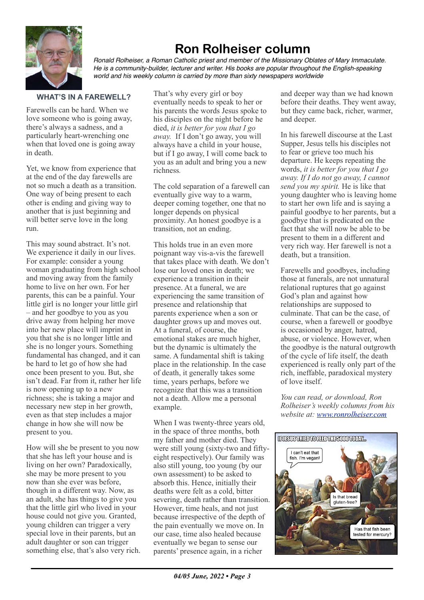

## **Ron Rolheiser column**

*Ronald Rolheiser, a Roman Catholic priest and member of the Missionary Oblates of Mary Immaculate. He is a community-builder, lecturer and writer. His books are popular throughout the English-speaking world and his weekly column is carried by more than sixty newspapers worldwide*

## **WHAT'S IN A FAREWELL?**

Farewells can be hard. When we love someone who is going away, there's always a sadness, and a particularly heart-wrenching one when that loved one is going away in death.

Yet, we know from experience that at the end of the day farewells are not so much a death as a transition. One way of being present to each other is ending and giving way to another that is just beginning and will better serve love in the long run.

This may sound abstract. It's not. We experience it daily in our lives. For example: consider a young woman graduating from high school and moving away from the family home to live on her own. For her parents, this can be a painful. Your little girl is no longer your little girl – and her goodbye to you as you drive away from helping her move into her new place will imprint in you that she is no longer little and she is no longer yours. Something fundamental has changed, and it can be hard to let go of how she had once been present to you. But, she isn't dead. Far from it, rather her life is now opening up to a new richness; she is taking a major and necessary new step in her growth, even as that step includes a major change in how she will now be present to you.

How will she be present to you now that she has left your house and is living on her own? Paradoxically, she may be more present to you now than she ever was before, though in a different way. Now, as an adult, she has things to give you that the little girl who lived in your house could not give you. Granted, young children can trigger a very special love in their parents, but an adult daughter or son can trigger something else, that's also very rich.

That's why every girl or boy eventually needs to speak to her or his parents the words Jesus spoke to his disciples on the night before he died, *it is better for you that I go away.* If I don't go away, you will always have a child in your house, but if I go away, I will come back to you as an adult and bring you a new richness*.*

The cold separation of a farewell can eventually give way to a warm, deeper coming together, one that no longer depends on physical proximity. An honest goodbye is a transition, not an ending.

This holds true in an even more poignant way vis-a-vis the farewell that takes place with death. We don't lose our loved ones in death; we experience a transition in their presence. At a funeral, we are experiencing the same transition of presence and relationship that parents experience when a son or daughter grows up and moves out. At a funeral, of course, the emotional stakes are much higher, but the dynamic is ultimately the same. A fundamental shift is taking place in the relationship. In the case of death, it generally takes some time, years perhaps, before we recognize that this was a transition not a death. Allow me a personal example.

When I was twenty-three years old, in the space of three months, both my father and mother died. They were still young (sixty-two and fiftyeight respectively). Our family was also still young, too young (by our own assessment) to be asked to absorb this. Hence, initially their deaths were felt as a cold, bitter severing, death rather than transition. However, time heals, and not just because irrespective of the depth of the pain eventually we move on. In our case, time also healed because eventually we began to sense our parents' presence again, in a richer

and deeper way than we had known before their deaths. They went away, but they came back, richer, warmer, and deeper.

In his farewell discourse at the Last Supper, Jesus tells his disciples not to fear or grieve too much his departure. He keeps repeating the words, *it is better for you that I go away. If I do not go away, I cannot send you my spirit.* He is like that young daughter who is leaving home to start her own life and is saying a painful goodbye to her parents, but a goodbye that is predicated on the fact that she will now be able to be present to them in a different and very rich way. Her farewell is not a death, but a transition.

Farewells and goodbyes, including those at funerals, are not unnatural relational ruptures that go against God's plan and against how relationships are supposed to culminate. That can be the case, of course, when a farewell or goodbye is occasioned by anger, hatred, abuse, or violence. However, when the goodbye is the natural outgrowth of the cycle of life itself, the death experienced is really only part of the rich, ineffable, paradoxical mystery of love itself.

*You can read, or download, Ron Rolheiser's weekly columns from his website at: [www.ronrolheiser.com](http://www.ronrolheiser.com)*